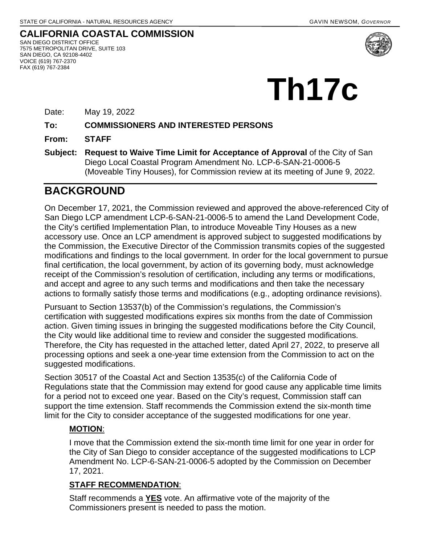**CALIFORNIA COASTAL COMMISSION** SAN DIEGO DISTRICT OFFICE 7575 METROPOLITAN DRIVE, SUITE 103 SAN DIEGO, CA 92108-4402 VOICE (619) 767-2370 FAX (619) 767-2384



# **Th17c**

Date: May 19, 2022

#### **To: COMMISSIONERS AND INTERESTED PERSONS**

**From: STAFF**

**Subject: Request to Waive Time Limit for Acceptance of Approval** of the City of San Diego Local Coastal Program Amendment No. LCP-6-SAN-21-0006-5 (Moveable Tiny Houses), for Commission review at its meeting of June 9, 2022.

## **BACKGROUND**

On December 17, 2021, the Commission reviewed and approved the above-referenced City of San Diego LCP amendment LCP-6-SAN-21-0006-5 to amend the Land Development Code, the City's certified Implementation Plan, to introduce Moveable Tiny Houses as a new accessory use. Once an LCP amendment is approved subject to suggested modifications by the Commission, the Executive Director of the Commission transmits copies of the suggested modifications and findings to the local government. In order for the local government to pursue final certification, the local government, by action of its governing body, must acknowledge receipt of the Commission's resolution of certification, including any terms or modifications, and accept and agree to any such terms and modifications and then take the necessary actions to formally satisfy those terms and modifications (e.g., adopting ordinance revisions).

Pursuant to Section 13537(b) of the Commission's regulations, the Commission's certification with suggested modifications expires six months from the date of Commission action. Given timing issues in bringing the suggested modifications before the City Council, the City would like additional time to review and consider the suggested modifications. Therefore, the City has requested in the attached letter, dated April 27, 2022, to preserve all processing options and seek a one-year time extension from the Commission to act on the suggested modifications.

Section 30517 of the Coastal Act and Section 13535(c) of the California Code of Regulations state that the Commission may extend for good cause any applicable time limits for a period not to exceed one year. Based on the City's request, Commission staff can support the time extension. Staff recommends the Commission extend the six-month time limit for the City to consider acceptance of the suggested modifications for one year.

### **MOTION**:

I move that the Commission extend the six-month time limit for one year in order for the City of San Diego to consider acceptance of the suggested modifications to LCP Amendment No. LCP-6-SAN-21-0006-5 adopted by the Commission on December 17, 2021.

### **STAFF RECOMMENDATION**:

Staff recommends a **YES** vote. An affirmative vote of the majority of the Commissioners present is needed to pass the motion.